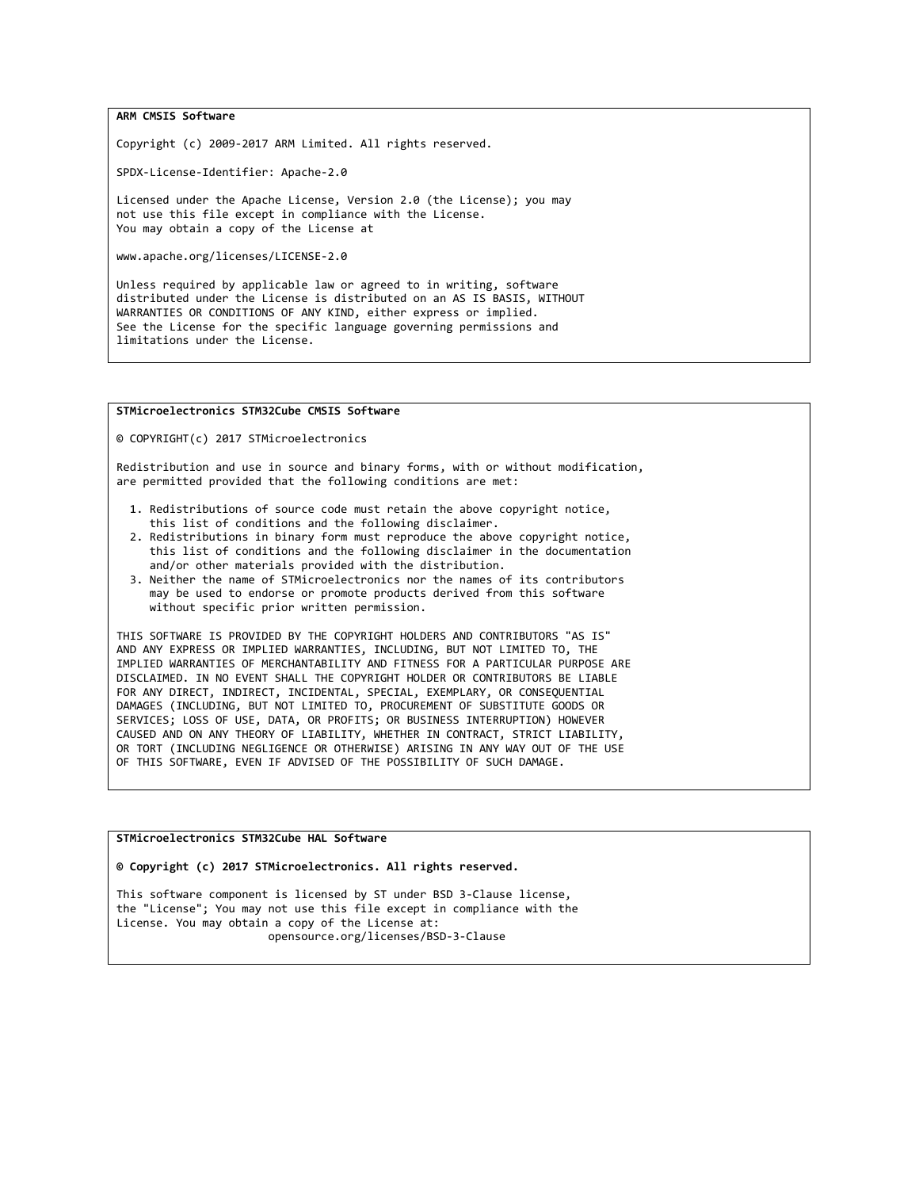ARM CMSIS Software

Copyright (c) 2009-2017 ARM Limited. All rights reserved.

SPDX-License-Identifier: Apache-2.0

Licensed under the Apache License, Version 2.0 (the License); you may not use this file except in compliance with the License. You may obtain a copy of the License at

www.apache.org/licenses/LICENSE-2.0

Unless required by applicable law or agreed to in writing, software distributed under the License is distributed on an AS IS BASIS, WITHOUT WARRANTIES OR CONDITIONS OF ANY KIND, either express or implied. See the License for the specific language governing permissions and limitations under the License.

## STMicroelectronics STM32Cube CMSIS Software

© COPYRIGHT(c) 2017 STMicroelectronics

Redistribution and use in source and binary forms, with or without modification, are permitted provided that the following conditions are met:

- 1. Redistributions of source code must retain the above copyright notice, this list of conditions and the following disclaimer.
- 2. Redistributions in binary form must reproduce the above copyright notice, this list of conditions and the following disclaimer in the documentation and/or other materials provided with the distribution.
- 3. Neither the name of STMicroelectronics nor the names of its contributors may be used to endorse or promote products derived from this software without specific prior written permission.

THIS SOFTWARE IS PROVIDED BY THE COPYRIGHT HOLDERS AND CONTRIBUTORS "AS IS" AND ANY EXPRESS OR IMPLIED WARRANTIES, INCLUDING, BUT NOT LIMITED TO, THE IMPLIED WARRANTIES OF MERCHANTABILITY AND FITNESS FOR A PARTICULAR PURPOSE ARE DISCLAIMED. IN NO EVENT SHALL THE COPYRIGHT HOLDER OR CONTRIBUTORS BE LIABLE FOR ANY DIRECT, INDIRECT, INCIDENTAL, SPECIAL, EXEMPLARY, OR CONSEQUENTIAL DAMAGES (INCLUDING, BUT NOT LIMITED TO, PROCUREMENT OF SUBSTITUTE GOODS OR SERVICES; LOSS OF USE, DATA, OR PROFITS; OR BUSINESS INTERRUPTION) HOWEVER CAUSED AND ON ANY THEORY OF LIABILITY, WHETHER IN CONTRACT, STRICT LIABILITY, OR TORT (INCLUDING NEGLIGENCE OR OTHERWISE) ARISING IN ANY WAY OUT OF THE USE OF THIS SOFTWARE, EVEN IF ADVISED OF THE POSSIBILITY OF SUCH DAMAGE.

STMicroelectronics STM32Cube HAL Software

© Copyright (c) 2017 STMicroelectronics. All rights reserved.

This software component is licensed by ST under BSD 3-Clause license, the "License"; You may not use this file except in compliance with the License. You may obtain a copy of the License at: opensource.org/licenses/BSD-3-Clause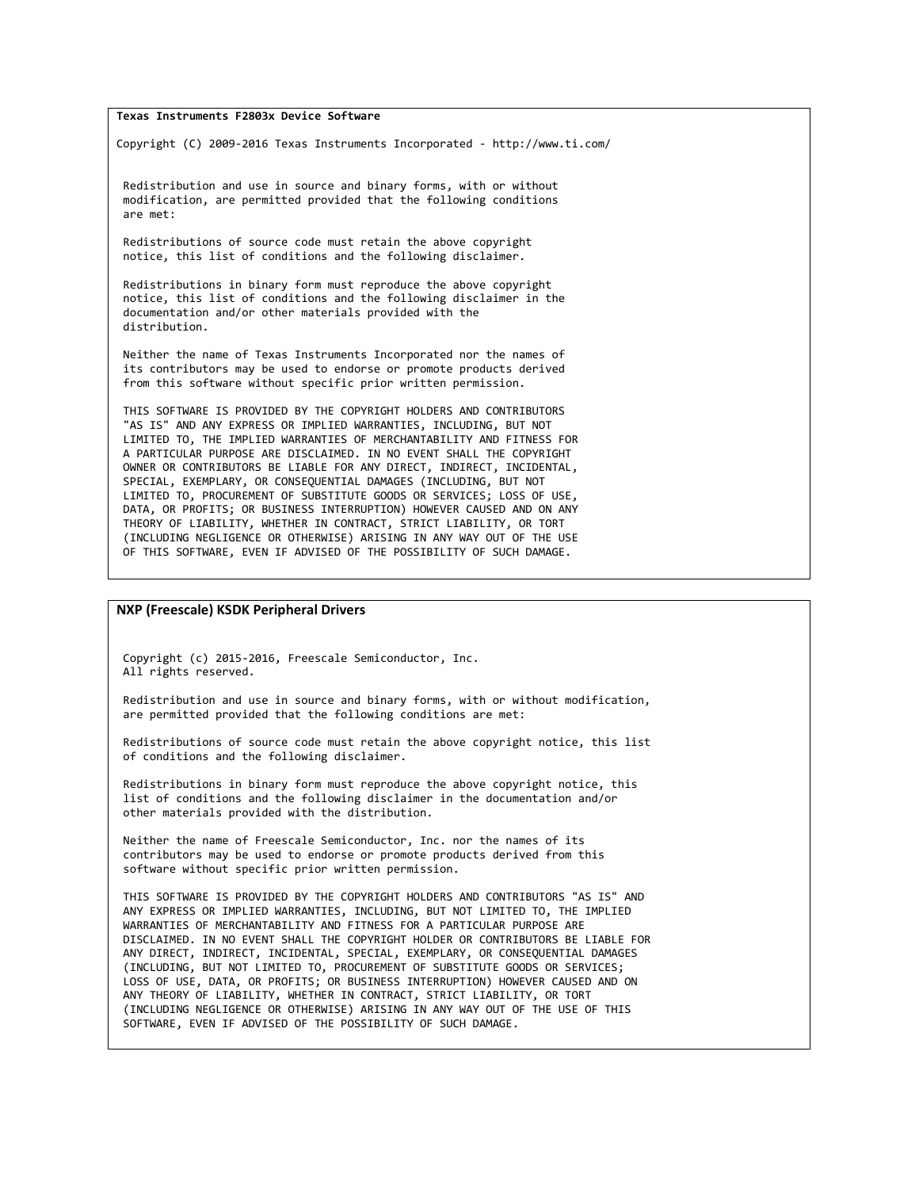## Texas Instruments F2803x Device Software

Copyright (C) 2009-2016 Texas Instruments Incorporated - http://www.ti.com/

 Redistribution and use in source and binary forms, with or without modification, are permitted provided that the following conditions are met:

 Redistributions of source code must retain the above copyright notice, this list of conditions and the following disclaimer.

 Redistributions in binary form must reproduce the above copyright notice, this list of conditions and the following disclaimer in the documentation and/or other materials provided with the distribution.

 Neither the name of Texas Instruments Incorporated nor the names of its contributors may be used to endorse or promote products derived from this software without specific prior written permission.

 THIS SOFTWARE IS PROVIDED BY THE COPYRIGHT HOLDERS AND CONTRIBUTORS "AS IS" AND ANY EXPRESS OR IMPLIED WARRANTIES, INCLUDING, BUT NOT LIMITED TO, THE IMPLIED WARRANTIES OF MERCHANTABILITY AND FITNESS FOR A PARTICULAR PURPOSE ARE DISCLAIMED. IN NO EVENT SHALL THE COPYRIGHT OWNER OR CONTRIBUTORS BE LIABLE FOR ANY DIRECT, INDIRECT, INCIDENTAL, SPECIAL, EXEMPLARY, OR CONSEQUENTIAL DAMAGES (INCLUDING, BUT NOT LIMITED TO, PROCUREMENT OF SUBSTITUTE GOODS OR SERVICES; LOSS OF USE, DATA, OR PROFITS; OR BUSINESS INTERRUPTION) HOWEVER CAUSED AND ON ANY THEORY OF LIABILITY, WHETHER IN CONTRACT, STRICT LIABILITY, OR TORT (INCLUDING NEGLIGENCE OR OTHERWISE) ARISING IN ANY WAY OUT OF THE USE OF THIS SOFTWARE, EVEN IF ADVISED OF THE POSSIBILITY OF SUCH DAMAGE.

## NXP (Freescale) KSDK Peripheral Drivers

 Copyright (c) 2015-2016, Freescale Semiconductor, Inc. All rights reserved.

 Redistribution and use in source and binary forms, with or without modification, are permitted provided that the following conditions are met:

 Redistributions of source code must retain the above copyright notice, this list of conditions and the following disclaimer.

 Redistributions in binary form must reproduce the above copyright notice, this list of conditions and the following disclaimer in the documentation and/or other materials provided with the distribution.

 Neither the name of Freescale Semiconductor, Inc. nor the names of its contributors may be used to endorse or promote products derived from this software without specific prior written permission.

 THIS SOFTWARE IS PROVIDED BY THE COPYRIGHT HOLDERS AND CONTRIBUTORS "AS IS" AND ANY EXPRESS OR IMPLIED WARRANTIES, INCLUDING, BUT NOT LIMITED TO, THE IMPLIED WARRANTIES OF MERCHANTABILITY AND FITNESS FOR A PARTICULAR PURPOSE ARE DISCLAIMED. IN NO EVENT SHALL THE COPYRIGHT HOLDER OR CONTRIBUTORS BE LIABLE FOR ANY DIRECT, INDIRECT, INCIDENTAL, SPECIAL, EXEMPLARY, OR CONSEQUENTIAL DAMAGES (INCLUDING, BUT NOT LIMITED TO, PROCUREMENT OF SUBSTITUTE GOODS OR SERVICES; LOSS OF USE, DATA, OR PROFITS; OR BUSINESS INTERRUPTION) HOWEVER CAUSED AND ON ANY THEORY OF LIABILITY, WHETHER IN CONTRACT, STRICT LIABILITY, OR TORT (INCLUDING NEGLIGENCE OR OTHERWISE) ARISING IN ANY WAY OUT OF THE USE OF THIS SOFTWARE, EVEN IF ADVISED OF THE POSSIBILITY OF SUCH DAMAGE.